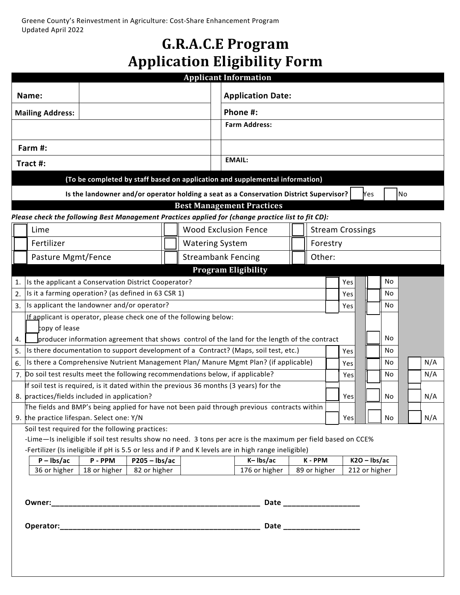## **G.R.A.C.E Program Application Eligibility Form**

| <b>Application Date:</b><br>Name:<br>Phone #:<br><b>Mailing Address:</b><br><b>Farm Address:</b><br>Farm #:<br><b>EMAIL:</b><br>Tract #:<br>(To be completed by staff based on application and supplemental information)<br>Is the landowner and/or operator holding a seat as a Conservation District Supervisor?<br>No<br><b>Nes</b><br><b>Best Management Practices</b><br><b>Wood Exclusion Fence</b><br><b>Stream Crossings</b><br>Lime<br>Fertilizer<br><b>Watering System</b><br>Forestry<br><b>Streambank Fencing</b><br>Other:<br>Pasture Mgmt/Fence<br><b>Program Eligibility</b><br>No<br>Is the applicant a Conservation District Cooperator?<br>Yes<br>Is it a farming operation? (as defined in 63 CSR 1)<br>2.<br>No<br>Yes<br>Is applicant the landowner and/or operator?<br>No<br>3.<br>Yes<br>If applicant is operator, please check one of the following below: |
|------------------------------------------------------------------------------------------------------------------------------------------------------------------------------------------------------------------------------------------------------------------------------------------------------------------------------------------------------------------------------------------------------------------------------------------------------------------------------------------------------------------------------------------------------------------------------------------------------------------------------------------------------------------------------------------------------------------------------------------------------------------------------------------------------------------------------------------------------------------------------------|
| Please check the following Best Management Practices applied for (change practice list to fit CD):                                                                                                                                                                                                                                                                                                                                                                                                                                                                                                                                                                                                                                                                                                                                                                                 |
|                                                                                                                                                                                                                                                                                                                                                                                                                                                                                                                                                                                                                                                                                                                                                                                                                                                                                    |
|                                                                                                                                                                                                                                                                                                                                                                                                                                                                                                                                                                                                                                                                                                                                                                                                                                                                                    |
|                                                                                                                                                                                                                                                                                                                                                                                                                                                                                                                                                                                                                                                                                                                                                                                                                                                                                    |
|                                                                                                                                                                                                                                                                                                                                                                                                                                                                                                                                                                                                                                                                                                                                                                                                                                                                                    |
|                                                                                                                                                                                                                                                                                                                                                                                                                                                                                                                                                                                                                                                                                                                                                                                                                                                                                    |
|                                                                                                                                                                                                                                                                                                                                                                                                                                                                                                                                                                                                                                                                                                                                                                                                                                                                                    |
|                                                                                                                                                                                                                                                                                                                                                                                                                                                                                                                                                                                                                                                                                                                                                                                                                                                                                    |
|                                                                                                                                                                                                                                                                                                                                                                                                                                                                                                                                                                                                                                                                                                                                                                                                                                                                                    |
|                                                                                                                                                                                                                                                                                                                                                                                                                                                                                                                                                                                                                                                                                                                                                                                                                                                                                    |
|                                                                                                                                                                                                                                                                                                                                                                                                                                                                                                                                                                                                                                                                                                                                                                                                                                                                                    |
|                                                                                                                                                                                                                                                                                                                                                                                                                                                                                                                                                                                                                                                                                                                                                                                                                                                                                    |
|                                                                                                                                                                                                                                                                                                                                                                                                                                                                                                                                                                                                                                                                                                                                                                                                                                                                                    |
|                                                                                                                                                                                                                                                                                                                                                                                                                                                                                                                                                                                                                                                                                                                                                                                                                                                                                    |
|                                                                                                                                                                                                                                                                                                                                                                                                                                                                                                                                                                                                                                                                                                                                                                                                                                                                                    |
|                                                                                                                                                                                                                                                                                                                                                                                                                                                                                                                                                                                                                                                                                                                                                                                                                                                                                    |
|                                                                                                                                                                                                                                                                                                                                                                                                                                                                                                                                                                                                                                                                                                                                                                                                                                                                                    |
|                                                                                                                                                                                                                                                                                                                                                                                                                                                                                                                                                                                                                                                                                                                                                                                                                                                                                    |
| copy of lease<br>No<br>producer information agreement that shows control of the land for the length of the contract<br>4.                                                                                                                                                                                                                                                                                                                                                                                                                                                                                                                                                                                                                                                                                                                                                          |
| Is there documentation to support development of a Contract? (Maps, soil test, etc.)<br>No<br>5.<br>Yes                                                                                                                                                                                                                                                                                                                                                                                                                                                                                                                                                                                                                                                                                                                                                                            |
| Is there a Comprehensive Nutrient Management Plan/ Manure Mgmt Plan? (if applicable)<br>N/A<br>6.<br>No<br>Yes                                                                                                                                                                                                                                                                                                                                                                                                                                                                                                                                                                                                                                                                                                                                                                     |
| 7. Do soil test results meet the following recommendations below, if applicable?<br>N/A<br>No<br>Yes                                                                                                                                                                                                                                                                                                                                                                                                                                                                                                                                                                                                                                                                                                                                                                               |
| If soil test is required, is it dated within the previous 36 months (3 years) for the                                                                                                                                                                                                                                                                                                                                                                                                                                                                                                                                                                                                                                                                                                                                                                                              |
| 8. practices/fields included in application?<br>N/A<br>Yes<br>No                                                                                                                                                                                                                                                                                                                                                                                                                                                                                                                                                                                                                                                                                                                                                                                                                   |
| The fields and BMP's being applied for have not been paid through previous contracts within                                                                                                                                                                                                                                                                                                                                                                                                                                                                                                                                                                                                                                                                                                                                                                                        |
| 9. the practice lifespan. Select one: Y/N<br>N/A<br>Yes<br>No<br>Soil test required for the following practices:                                                                                                                                                                                                                                                                                                                                                                                                                                                                                                                                                                                                                                                                                                                                                                   |
| -Lime-Is ineligible if soil test results show no need. 3 tons per acre is the maximum per field based on CCE%                                                                                                                                                                                                                                                                                                                                                                                                                                                                                                                                                                                                                                                                                                                                                                      |
| -Fertilizer (Is ineligible if pH is 5.5 or less and if P and K levels are in high range ineligible)                                                                                                                                                                                                                                                                                                                                                                                                                                                                                                                                                                                                                                                                                                                                                                                |
| $P - Ibs/ac$<br>P-PPM<br>K-Ibs/ac<br>K-PPM<br>$K2O - Ibs/ac$<br>$P205 - Ibs/ac$                                                                                                                                                                                                                                                                                                                                                                                                                                                                                                                                                                                                                                                                                                                                                                                                    |
| 36 or higher<br>176 or higher<br>18 or higher<br>82 or higher<br>89 or higher<br>212 or higher                                                                                                                                                                                                                                                                                                                                                                                                                                                                                                                                                                                                                                                                                                                                                                                     |
|                                                                                                                                                                                                                                                                                                                                                                                                                                                                                                                                                                                                                                                                                                                                                                                                                                                                                    |
| Date ___________________                                                                                                                                                                                                                                                                                                                                                                                                                                                                                                                                                                                                                                                                                                                                                                                                                                                           |
|                                                                                                                                                                                                                                                                                                                                                                                                                                                                                                                                                                                                                                                                                                                                                                                                                                                                                    |
| Date ___________________                                                                                                                                                                                                                                                                                                                                                                                                                                                                                                                                                                                                                                                                                                                                                                                                                                                           |
|                                                                                                                                                                                                                                                                                                                                                                                                                                                                                                                                                                                                                                                                                                                                                                                                                                                                                    |
|                                                                                                                                                                                                                                                                                                                                                                                                                                                                                                                                                                                                                                                                                                                                                                                                                                                                                    |
|                                                                                                                                                                                                                                                                                                                                                                                                                                                                                                                                                                                                                                                                                                                                                                                                                                                                                    |